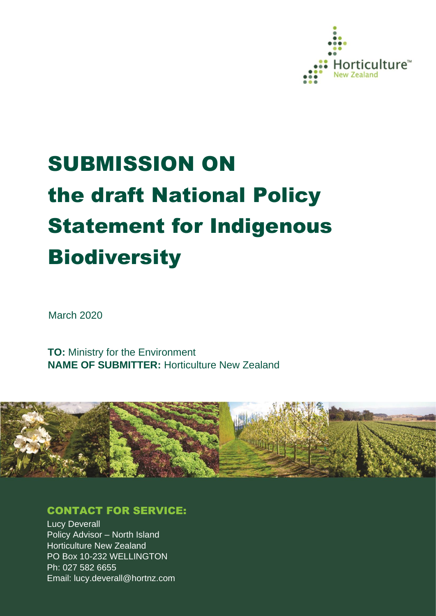

# SUBMISSION ON the draft National Policy Statement for Indigenous **Biodiversity**

March 2020

**TO:** Ministry for the Environment **NAME OF SUBMITTER:** Horticulture New Zealand



# CONTACT FOR SERVICE:

**Lucy Deverall** Policy Advisor – North Island Horticulture New Zealand PO Box 10-232 WELLINGTON Ph: 027 582 6655 Email: lucy.deverall@hortnz.com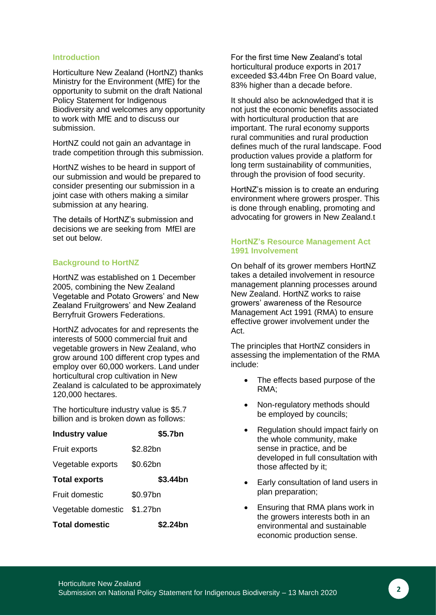#### **Introduction**

Horticulture New Zealand (HortNZ) thanks Ministry for the Environment (MfE) for the opportunity to submit on the draft National Policy Statement for Indigenous Biodiversity and welcomes any opportunity to work with MfE and to discuss our submission.

HortNZ could not gain an advantage in trade competition through this submission.

HortNZ wishes to be heard in support of our submission and would be prepared to consider presenting our submission in a joint case with others making a similar submission at any hearing.

The details of HortNZ's submission and decisions we are seeking from MfEl are set out below.

#### **Background to HortNZ**

HortNZ was established on 1 December 2005, combining the New Zealand Vegetable and Potato Growers' and New Zealand Fruitgrowers' and New Zealand Berryfruit Growers Federations.

HortNZ advocates for and represents the interests of 5000 commercial fruit and vegetable growers in New Zealand, who grow around 100 different crop types and employ over 60,000 workers. Land under horticultural crop cultivation in New Zealand is calculated to be approximately 120,000 hectares.

The horticulture industry value is \$5.7 billion and is broken down as follows:

| <b>Industry value</b>       | \$5.7bn  |
|-----------------------------|----------|
| Fruit exports               | \$2.82bn |
| Vegetable exports           | \$0.62bn |
| <b>Total exports</b>        | \$3.44bn |
| Fruit domestic              | \$0.97bn |
| Vegetable domestic \$1.27bn |          |
| <b>Total domestic</b>       | \$2.24bn |

For the first time New Zealand's total horticultural produce exports in 2017 exceeded \$3.44bn Free On Board value, 83% higher than a decade before.

It should also be acknowledged that it is not just the economic benefits associated with horticultural production that are important. The rural economy supports rural communities and rural production defines much of the rural landscape. Food production values provide a platform for long term sustainability of communities, through the provision of food security.

HortNZ's mission is to create an enduring environment where growers prosper. This is done through enabling, promoting and advocating for growers in New Zealand.t

#### **HortNZ's Resource Management Act 1991 Involvement**

On behalf of its grower members HortNZ takes a detailed involvement in resource management planning processes around New Zealand. HortNZ works to raise growers' awareness of the Resource Management Act 1991 (RMA) to ensure effective grower involvement under the Act.

The principles that HortNZ considers in assessing the implementation of the RMA include:

- The effects based purpose of the RMA;
- Non-regulatory methods should be employed by councils;
- Regulation should impact fairly on the whole community, make sense in practice, and be developed in full consultation with those affected by it;
- Early consultation of land users in plan preparation;
- Ensuring that RMA plans work in the growers interests both in an environmental and sustainable economic production sense.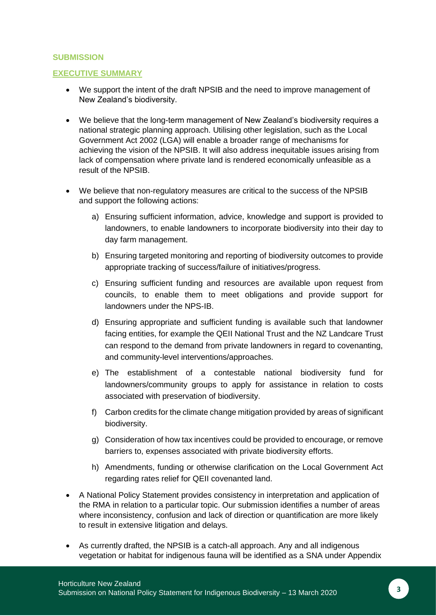#### **SUBMISSION**

#### **EXECUTIVE SUMMARY**

- We support the intent of the draft NPSIB and the need to improve management of New Zealand's biodiversity.
- We believe that the long-term management of New Zealand's biodiversity requires a national strategic planning approach. Utilising other legislation, such as the Local Government Act 2002 (LGA) will enable a broader range of mechanisms for achieving the vision of the NPSIB. It will also address inequitable issues arising from lack of compensation where private land is rendered economically unfeasible as a result of the NPSIB.
- We believe that non-regulatory measures are critical to the success of the NPSIB and support the following actions:
	- a) Ensuring sufficient information, advice, knowledge and support is provided to landowners, to enable landowners to incorporate biodiversity into their day to day farm management.
	- b) Ensuring targeted monitoring and reporting of biodiversity outcomes to provide appropriate tracking of success/failure of initiatives/progress.
	- c) Ensuring sufficient funding and resources are available upon request from councils, to enable them to meet obligations and provide support for landowners under the NPS-IB.
	- d) Ensuring appropriate and sufficient funding is available such that landowner facing entities, for example the QEII National Trust and the NZ Landcare Trust can respond to the demand from private landowners in regard to covenanting, and community-level interventions/approaches.
	- e) The establishment of a contestable national biodiversity fund for landowners/community groups to apply for assistance in relation to costs associated with preservation of biodiversity.
	- f) Carbon credits for the climate change mitigation provided by areas of significant biodiversity.
	- g) Consideration of how tax incentives could be provided to encourage, or remove barriers to, expenses associated with private biodiversity efforts.
	- h) Amendments, funding or otherwise clarification on the Local Government Act regarding rates relief for QEII covenanted land.
- A National Policy Statement provides consistency in interpretation and application of the RMA in relation to a particular topic. Our submission identifies a number of areas where inconsistency, confusion and lack of direction or quantification are more likely to result in extensive litigation and delays.
- As currently drafted, the NPSIB is a catch-all approach. Any and all indigenous vegetation or habitat for indigenous fauna will be identified as a SNA under Appendix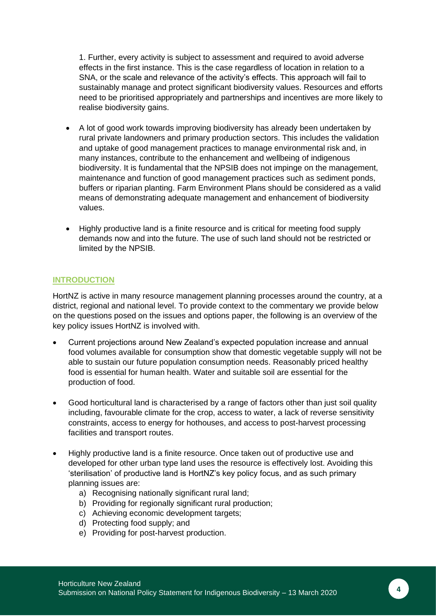1. Further, every activity is subject to assessment and required to avoid adverse effects in the first instance. This is the case regardless of location in relation to a SNA, or the scale and relevance of the activity's effects. This approach will fail to sustainably manage and protect significant biodiversity values. Resources and efforts need to be prioritised appropriately and partnerships and incentives are more likely to realise biodiversity gains.

- A lot of good work towards improving biodiversity has already been undertaken by rural private landowners and primary production sectors. This includes the validation and uptake of good management practices to manage environmental risk and, in many instances, contribute to the enhancement and wellbeing of indigenous biodiversity. It is fundamental that the NPSIB does not impinge on the management, maintenance and function of good management practices such as sediment ponds, buffers or riparian planting. Farm Environment Plans should be considered as a valid means of demonstrating adequate management and enhancement of biodiversity values.
- Highly productive land is a finite resource and is critical for meeting food supply demands now and into the future. The use of such land should not be restricted or limited by the NPSIB.

# **INTRODUCTION**

HortNZ is active in many resource management planning processes around the country, at a district, regional and national level. To provide context to the commentary we provide below on the questions posed on the issues and options paper, the following is an overview of the key policy issues HortNZ is involved with.

- Current projections around New Zealand's expected population increase and annual food volumes available for consumption show that domestic vegetable supply will not be able to sustain our future population consumption needs. Reasonably priced healthy food is essential for human health. Water and suitable soil are essential for the production of food.
- Good horticultural land is characterised by a range of factors other than just soil quality including, favourable climate for the crop, access to water, a lack of reverse sensitivity constraints, access to energy for hothouses, and access to post-harvest processing facilities and transport routes.
- Highly productive land is a finite resource. Once taken out of productive use and developed for other urban type land uses the resource is effectively lost. Avoiding this 'sterilisation' of productive land is HortNZ's key policy focus, and as such primary planning issues are:
	- a) Recognising nationally significant rural land;
	- b) Providing for regionally significant rural production:
	- c) Achieving economic development targets;
	- d) Protecting food supply; and
	- e) Providing for post-harvest production.

**4**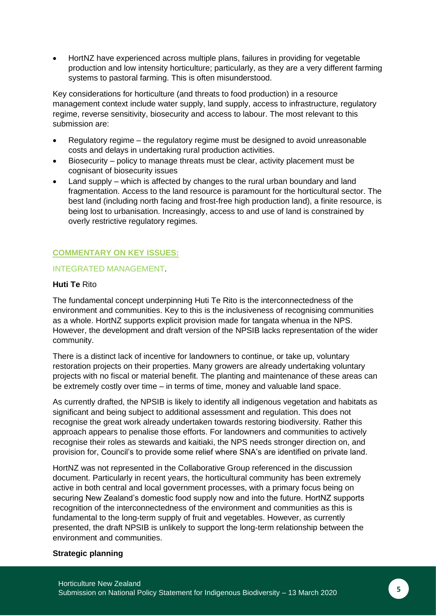• HortNZ have experienced across multiple plans, failures in providing for vegetable production and low intensity horticulture; particularly, as they are a very different farming systems to pastoral farming. This is often misunderstood.

Key considerations for horticulture (and threats to food production) in a resource management context include water supply, land supply, access to infrastructure, regulatory regime, reverse sensitivity, biosecurity and access to labour. The most relevant to this submission are:

- Regulatory regime the regulatory regime must be designed to avoid unreasonable costs and delays in undertaking rural production activities.
- Biosecurity policy to manage threats must be clear, activity placement must be cognisant of biosecurity issues
- Land supply which is affected by changes to the rural urban boundary and land fragmentation. Access to the land resource is paramount for the horticultural sector. The best land (including north facing and frost-free high production land), a finite resource, is being lost to urbanisation. Increasingly, access to and use of land is constrained by overly restrictive regulatory regimes.

### **COMMENTARY ON KEY ISSUES:**

#### INTEGRATED MANAGEMENT.

#### **Huti Te** Rito

The fundamental concept underpinning Huti Te Rito is the interconnectedness of the environment and communities. Key to this is the inclusiveness of recognising communities as a whole. HortNZ supports explicit provision made for tangata whenua in the NPS. However, the development and draft version of the NPSIB lacks representation of the wider community.

There is a distinct lack of incentive for landowners to continue, or take up, voluntary restoration projects on their properties. Many growers are already undertaking voluntary projects with no fiscal or material benefit. The planting and maintenance of these areas can be extremely costly over time – in terms of time, money and valuable land space.

As currently drafted, the NPSIB is likely to identify all indigenous vegetation and habitats as significant and being subject to additional assessment and regulation. This does not recognise the great work already undertaken towards restoring biodiversity. Rather this approach appears to penalise those efforts. For landowners and communities to actively recognise their roles as stewards and kaitiaki, the NPS needs stronger direction on, and provision for, Council's to provide some relief where SNA's are identified on private land.

HortNZ was not represented in the Collaborative Group referenced in the discussion document. Particularly in recent years, the horticultural community has been extremely active in both central and local government processes, with a primary focus being on securing New Zealand's domestic food supply now and into the future. HortNZ supports recognition of the interconnectedness of the environment and communities as this is fundamental to the long-term supply of fruit and vegetables. However, as currently presented, the draft NPSIB is unlikely to support the long-term relationship between the environment and communities.

#### **Strategic planning**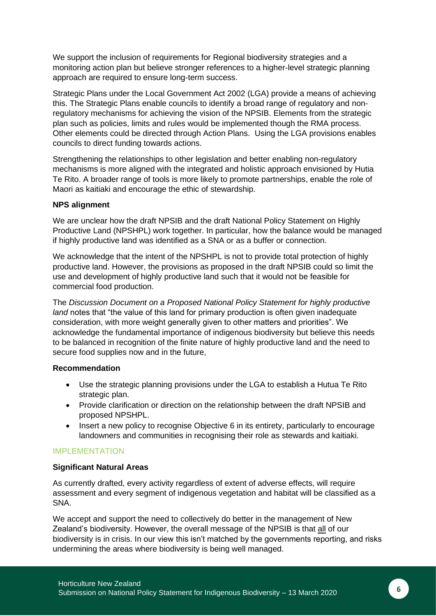We support the inclusion of requirements for Regional biodiversity strategies and a monitoring action plan but believe stronger references to a higher-level strategic planning approach are required to ensure long-term success.

Strategic Plans under the Local Government Act 2002 (LGA) provide a means of achieving this. The Strategic Plans enable councils to identify a broad range of regulatory and nonregulatory mechanisms for achieving the vision of the NPSIB. Elements from the strategic plan such as policies, limits and rules would be implemented though the RMA process. Other elements could be directed through Action Plans. Using the LGA provisions enables councils to direct funding towards actions.

Strengthening the relationships to other legislation and better enabling non-regulatory mechanisms is more aligned with the integrated and holistic approach envisioned by Hutia Te Rito. A broader range of tools is more likely to promote partnerships, enable the role of Maori as kaitiaki and encourage the ethic of stewardship.

#### **NPS alignment**

We are unclear how the draft NPSIB and the draft National Policy Statement on Highly Productive Land (NPSHPL) work together. In particular, how the balance would be managed if highly productive land was identified as a SNA or as a buffer or connection.

We acknowledge that the intent of the NPSHPL is not to provide total protection of highly productive land. However, the provisions as proposed in the draft NPSIB could so limit the use and development of highly productive land such that it would not be feasible for commercial food production.

The *Discussion Document on a Proposed National Policy Statement for highly productive land* notes that "the value of this land for primary production is often given inadequate consideration, with more weight generally given to other matters and priorities". We acknowledge the fundamental importance of indigenous biodiversity but believe this needs to be balanced in recognition of the finite nature of highly productive land and the need to secure food supplies now and in the future,

#### **Recommendation**

- Use the strategic planning provisions under the LGA to establish a Hutua Te Rito strategic plan.
- Provide clarification or direction on the relationship between the draft NPSIB and proposed NPSHPL.
- Insert a new policy to recognise Objective 6 in its entirety, particularly to encourage landowners and communities in recognising their role as stewards and kaitiaki.

#### IMPLEMENTATION

#### **Significant Natural Areas**

As currently drafted, every activity regardless of extent of adverse effects, will require assessment and every segment of indigenous vegetation and habitat will be classified as a SNA.

We accept and support the need to collectively do better in the management of New Zealand's biodiversity. However, the overall message of the NPSIB is that all of our biodiversity is in crisis. In our view this isn't matched by the governments reporting, and risks undermining the areas where biodiversity is being well managed.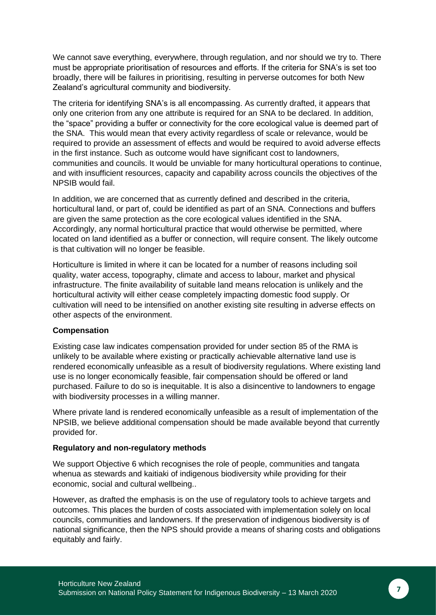We cannot save everything, everywhere, through regulation, and nor should we try to. There must be appropriate prioritisation of resources and efforts. If the criteria for SNA's is set too broadly, there will be failures in prioritising, resulting in perverse outcomes for both New Zealand's agricultural community and biodiversity.

The criteria for identifying SNA's is all encompassing. As currently drafted, it appears that only one criterion from any one attribute is required for an SNA to be declared. In addition, the "space" providing a buffer or connectivity for the core ecological value is deemed part of the SNA. This would mean that every activity regardless of scale or relevance, would be required to provide an assessment of effects and would be required to avoid adverse effects in the first instance. Such as outcome would have significant cost to landowners, communities and councils. It would be unviable for many horticultural operations to continue, and with insufficient resources, capacity and capability across councils the objectives of the NPSIB would fail.

In addition, we are concerned that as currently defined and described in the criteria, horticultural land, or part of, could be identified as part of an SNA. Connections and buffers are given the same protection as the core ecological values identified in the SNA. Accordingly, any normal horticultural practice that would otherwise be permitted, where located on land identified as a buffer or connection, will require consent. The likely outcome is that cultivation will no longer be feasible.

Horticulture is limited in where it can be located for a number of reasons including soil quality, water access, topography, climate and access to labour, market and physical infrastructure. The finite availability of suitable land means relocation is unlikely and the horticultural activity will either cease completely impacting domestic food supply. Or cultivation will need to be intensified on another existing site resulting in adverse effects on other aspects of the environment.

#### **Compensation**

Existing case law indicates compensation provided for under section 85 of the RMA is unlikely to be available where existing or practically achievable alternative land use is rendered economically unfeasible as a result of biodiversity regulations. Where existing land use is no longer economically feasible, fair compensation should be offered or land purchased. Failure to do so is inequitable. It is also a disincentive to landowners to engage with biodiversity processes in a willing manner.

Where private land is rendered economically unfeasible as a result of implementation of the NPSIB, we believe additional compensation should be made available beyond that currently provided for.

#### **Regulatory and non-regulatory methods**

We support Objective 6 which recognises the role of people, communities and tangata whenua as stewards and kaitiaki of indigenous biodiversity while providing for their economic, social and cultural wellbeing..

However, as drafted the emphasis is on the use of regulatory tools to achieve targets and outcomes. This places the burden of costs associated with implementation solely on local councils, communities and landowners. If the preservation of indigenous biodiversity is of national significance, then the NPS should provide a means of sharing costs and obligations equitably and fairly.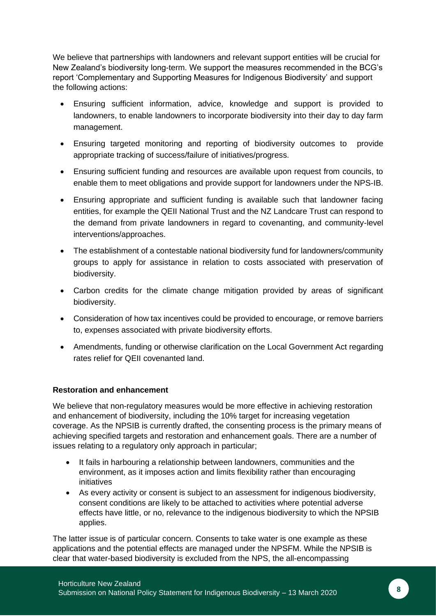We believe that partnerships with landowners and relevant support entities will be crucial for New Zealand's biodiversity long-term. We support the measures recommended in the BCG's report 'Complementary and Supporting Measures for Indigenous Biodiversity' and support the following actions:

- Ensuring sufficient information, advice, knowledge and support is provided to landowners, to enable landowners to incorporate biodiversity into their day to day farm management.
- Ensuring targeted monitoring and reporting of biodiversity outcomes to provide appropriate tracking of success/failure of initiatives/progress.
- Ensuring sufficient funding and resources are available upon request from councils, to enable them to meet obligations and provide support for landowners under the NPS-IB.
- Ensuring appropriate and sufficient funding is available such that landowner facing entities, for example the QEII National Trust and the NZ Landcare Trust can respond to the demand from private landowners in regard to covenanting, and community-level interventions/approaches.
- The establishment of a contestable national biodiversity fund for landowners/community groups to apply for assistance in relation to costs associated with preservation of biodiversity.
- Carbon credits for the climate change mitigation provided by areas of significant biodiversity.
- Consideration of how tax incentives could be provided to encourage, or remove barriers to, expenses associated with private biodiversity efforts.
- Amendments, funding or otherwise clarification on the Local Government Act regarding rates relief for QEII covenanted land.

# **Restoration and enhancement**

We believe that non-regulatory measures would be more effective in achieving restoration and enhancement of biodiversity, including the 10% target for increasing vegetation coverage. As the NPSIB is currently drafted, the consenting process is the primary means of achieving specified targets and restoration and enhancement goals. There are a number of issues relating to a regulatory only approach in particular;

- It fails in harbouring a relationship between landowners, communities and the environment, as it imposes action and limits flexibility rather than encouraging initiatives
- As every activity or consent is subject to an assessment for indigenous biodiversity. consent conditions are likely to be attached to activities where potential adverse effects have little, or no, relevance to the indigenous biodiversity to which the NPSIB applies.

The latter issue is of particular concern. Consents to take water is one example as these applications and the potential effects are managed under the NPSFM. While the NPSIB is clear that water-based biodiversity is excluded from the NPS, the all-encompassing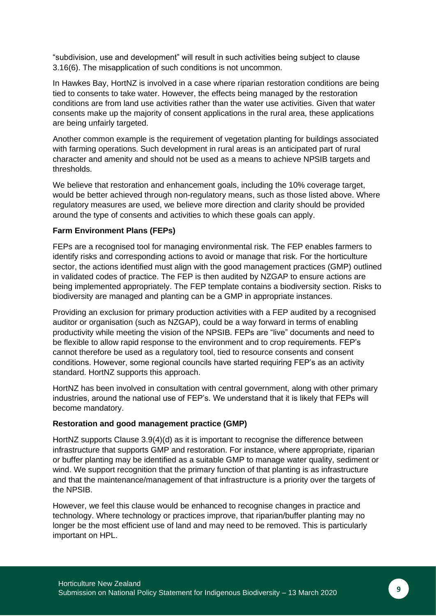"subdivision, use and development" will result in such activities being subject to clause 3.16(6). The misapplication of such conditions is not uncommon.

In Hawkes Bay, HortNZ is involved in a case where riparian restoration conditions are being tied to consents to take water. However, the effects being managed by the restoration conditions are from land use activities rather than the water use activities. Given that water consents make up the majority of consent applications in the rural area, these applications are being unfairly targeted.

Another common example is the requirement of vegetation planting for buildings associated with farming operations. Such development in rural areas is an anticipated part of rural character and amenity and should not be used as a means to achieve NPSIB targets and thresholds.

We believe that restoration and enhancement goals, including the 10% coverage target, would be better achieved through non-regulatory means, such as those listed above. Where regulatory measures are used, we believe more direction and clarity should be provided around the type of consents and activities to which these goals can apply.

#### **Farm Environment Plans (FEPs)**

FEPs are a recognised tool for managing environmental risk. The FEP enables farmers to identify risks and corresponding actions to avoid or manage that risk. For the horticulture sector, the actions identified must align with the good management practices (GMP) outlined in validated codes of practice. The FEP is then audited by NZGAP to ensure actions are being implemented appropriately. The FEP template contains a biodiversity section. Risks to biodiversity are managed and planting can be a GMP in appropriate instances.

Providing an exclusion for primary production activities with a FEP audited by a recognised auditor or organisation (such as NZGAP), could be a way forward in terms of enabling productivity while meeting the vision of the NPSIB. FEPs are "live" documents and need to be flexible to allow rapid response to the environment and to crop requirements. FEP's cannot therefore be used as a regulatory tool, tied to resource consents and consent conditions. However, some regional councils have started requiring FEP's as an activity standard. HortNZ supports this approach.

HortNZ has been involved in consultation with central government, along with other primary industries, around the national use of FEP's. We understand that it is likely that FEPs will become mandatory.

#### **Restoration and good management practice (GMP)**

HortNZ supports Clause 3.9(4)(d) as it is important to recognise the difference between infrastructure that supports GMP and restoration. For instance, where appropriate, riparian or buffer planting may be identified as a suitable GMP to manage water quality, sediment or wind. We support recognition that the primary function of that planting is as infrastructure and that the maintenance/management of that infrastructure is a priority over the targets of the NPSIB.

However, we feel this clause would be enhanced to recognise changes in practice and technology. Where technology or practices improve, that riparian/buffer planting may no longer be the most efficient use of land and may need to be removed. This is particularly important on HPL.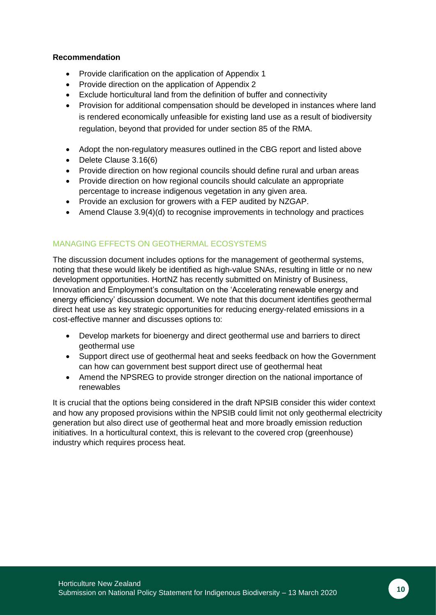#### **Recommendation**

- Provide clarification on the application of Appendix 1
- Provide direction on the application of Appendix 2
- Exclude horticultural land from the definition of buffer and connectivity
- Provision for additional compensation should be developed in instances where land is rendered economically unfeasible for existing land use as a result of biodiversity regulation, beyond that provided for under section 85 of the RMA.
- Adopt the non-regulatory measures outlined in the CBG report and listed above
- Delete Clause 3.16(6)
- Provide direction on how regional councils should define rural and urban areas
- Provide direction on how regional councils should calculate an appropriate percentage to increase indigenous vegetation in any given area.
- Provide an exclusion for growers with a FEP audited by NZGAP.
- Amend Clause 3.9(4)(d) to recognise improvements in technology and practices

# MANAGING EFFECTS ON GEOTHERMAL ECOSYSTEMS

The discussion document includes options for the management of geothermal systems, noting that these would likely be identified as high-value SNAs, resulting in little or no new development opportunities. HortNZ has recently submitted on Ministry of Business, Innovation and Employment's consultation on the 'Accelerating renewable energy and energy efficiency' discussion document. We note that this document identifies geothermal direct heat use as key strategic opportunities for reducing energy-related emissions in a cost-effective manner and discusses options to:

- Develop markets for bioenergy and direct geothermal use and barriers to direct geothermal use
- Support direct use of geothermal heat and seeks feedback on how the Government can how can government best support direct use of geothermal heat
- Amend the NPSREG to provide stronger direction on the national importance of renewables

It is crucial that the options being considered in the draft NPSIB consider this wider context and how any proposed provisions within the NPSIB could limit not only geothermal electricity generation but also direct use of geothermal heat and more broadly emission reduction initiatives. In a horticultural context, this is relevant to the covered crop (greenhouse) industry which requires process heat.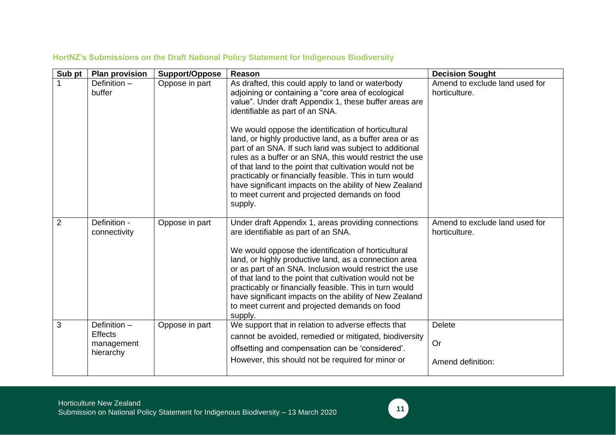| Sub pt | <b>Plan provision</b>                                     | <b>Support/Oppose</b> | Reason                                                                                                                                                                                                                                                                                                                                                                                                                                                                                                           | <b>Decision Sought</b>                          |
|--------|-----------------------------------------------------------|-----------------------|------------------------------------------------------------------------------------------------------------------------------------------------------------------------------------------------------------------------------------------------------------------------------------------------------------------------------------------------------------------------------------------------------------------------------------------------------------------------------------------------------------------|-------------------------------------------------|
|        | Definition-<br>buffer                                     | Oppose in part        | As drafted, this could apply to land or waterbody<br>adjoining or containing a "core area of ecological<br>value". Under draft Appendix 1, these buffer areas are<br>identifiable as part of an SNA.<br>We would oppose the identification of horticultural                                                                                                                                                                                                                                                      | Amend to exclude land used for<br>horticulture. |
|        |                                                           |                       | land, or highly productive land, as a buffer area or as<br>part of an SNA. If such land was subject to additional<br>rules as a buffer or an SNA, this would restrict the use<br>of that land to the point that cultivation would not be<br>practicably or financially feasible. This in turn would<br>have significant impacts on the ability of New Zealand<br>to meet current and projected demands on food<br>supply.                                                                                        |                                                 |
| 2      | Definition -<br>connectivity                              | Oppose in part        | Under draft Appendix 1, areas providing connections<br>are identifiable as part of an SNA.<br>We would oppose the identification of horticultural<br>land, or highly productive land, as a connection area<br>or as part of an SNA. Inclusion would restrict the use<br>of that land to the point that cultivation would not be<br>practicably or financially feasible. This in turn would<br>have significant impacts on the ability of New Zealand<br>to meet current and projected demands on food<br>supply. | Amend to exclude land used for<br>horticulture. |
| 3      | Definition -<br><b>Effects</b><br>management<br>hierarchy | Oppose in part        | We support that in relation to adverse effects that<br>cannot be avoided, remedied or mitigated, biodiversity<br>offsetting and compensation can be 'considered'.<br>However, this should not be required for minor or                                                                                                                                                                                                                                                                                           | <b>Delete</b><br>Or<br>Amend definition:        |
|        |                                                           |                       |                                                                                                                                                                                                                                                                                                                                                                                                                                                                                                                  |                                                 |

# **HortNZ's Submissions on the Draft National Policy Statement for Indigenous Biodiversity**

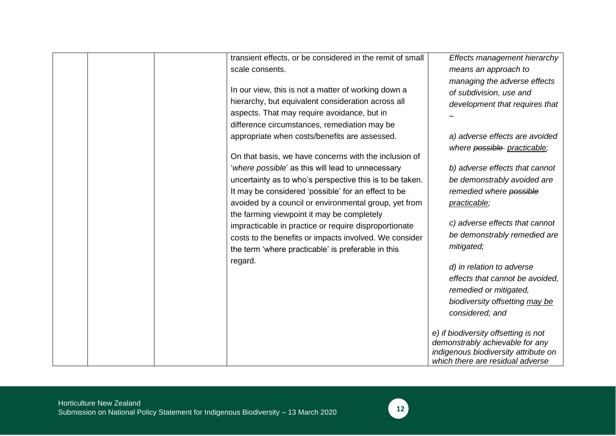| transient effects, or be considered in the remit of small | Effects management hierarchy                                            |
|-----------------------------------------------------------|-------------------------------------------------------------------------|
| scale consents.                                           | means an approach to                                                    |
|                                                           | managing the adverse effects                                            |
| In our view, this is not a matter of working down a       | of subdivision, use and                                                 |
| hierarchy, but equivalent consideration across all        | development that requires that                                          |
| aspects. That may require avoidance, but in               |                                                                         |
| difference circumstances, remediation may be              |                                                                         |
| appropriate when costs/benefits are assessed.             | a) adverse effects are avoided                                          |
|                                                           | where possible practicable;                                             |
| On that basis, we have concerns with the inclusion of     |                                                                         |
| 'where possible' as this will lead to unnecessary         | b) adverse effects that cannot                                          |
| uncertainty as to who's perspective this is to be taken.  | be demonstrably avoided are                                             |
| It may be considered 'possible' for an effect to be       | remedied where possible                                                 |
| avoided by a council or environmental group, yet from     | practicable;                                                            |
| the farming viewpoint it may be completely                |                                                                         |
| impracticable in practice or require disproportionate     | c) adverse effects that cannot                                          |
| costs to the benefits or impacts involved. We consider    | be demonstrably remedied are                                            |
| the term 'where practicable' is preferable in this        | mitigated;                                                              |
| regard.                                                   |                                                                         |
|                                                           | d) in relation to adverse                                               |
|                                                           | effects that cannot be avoided,                                         |
|                                                           | remedied or mitigated,                                                  |
|                                                           | biodiversity offsetting may be                                          |
|                                                           | considered; and                                                         |
|                                                           |                                                                         |
|                                                           | e) if biodiversity offsetting is not                                    |
|                                                           | demonstrably achievable for any<br>indigenous biodiversity attribute on |
|                                                           | which there are residual adverse                                        |

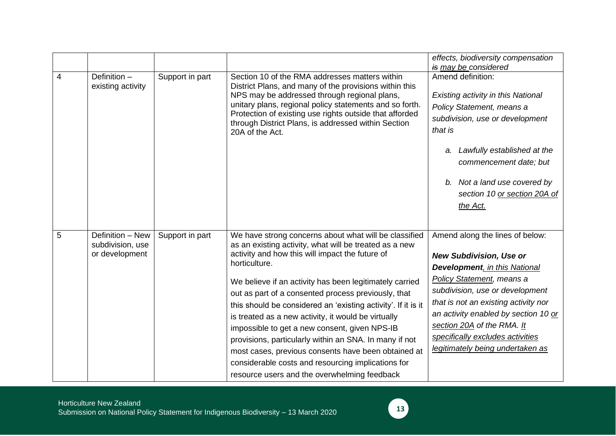|   |                                                        |                 |                                                                                                                                                                                                                                                                                                                                                                                                                                                                                                                                                                                                                                                                                                       | effects, biodiversity compensation<br>is may be considered                                                                                                                                                                                                                                                                                                              |
|---|--------------------------------------------------------|-----------------|-------------------------------------------------------------------------------------------------------------------------------------------------------------------------------------------------------------------------------------------------------------------------------------------------------------------------------------------------------------------------------------------------------------------------------------------------------------------------------------------------------------------------------------------------------------------------------------------------------------------------------------------------------------------------------------------------------|-------------------------------------------------------------------------------------------------------------------------------------------------------------------------------------------------------------------------------------------------------------------------------------------------------------------------------------------------------------------------|
| 4 | Definition -<br>existing activity                      | Support in part | Section 10 of the RMA addresses matters within<br>District Plans, and many of the provisions within this<br>NPS may be addressed through regional plans,<br>unitary plans, regional policy statements and so forth.<br>Protection of existing use rights outside that afforded<br>through District Plans, is addressed within Section<br>20A of the Act.                                                                                                                                                                                                                                                                                                                                              | Amend definition:<br>Existing activity in this National<br>Policy Statement, means a<br>subdivision, use or development<br>that is<br>Lawfully established at the<br>а.<br>commencement date; but<br>b. Not a land use covered by<br>section 10 or section 20A of<br>the Act.                                                                                           |
| 5 | Definition - New<br>subdivision, use<br>or development | Support in part | We have strong concerns about what will be classified<br>as an existing activity, what will be treated as a new<br>activity and how this will impact the future of<br>horticulture.<br>We believe if an activity has been legitimately carried<br>out as part of a consented process previously, that<br>this should be considered an 'existing activity'. If it is it<br>is treated as a new activity, it would be virtually<br>impossible to get a new consent, given NPS-IB<br>provisions, particularly within an SNA. In many if not<br>most cases, previous consents have been obtained at<br>considerable costs and resourcing implications for<br>resource users and the overwhelming feedback | Amend along the lines of below:<br><b>New Subdivision, Use or</b><br><b>Development</b> , in this National<br><b>Policy Statement, means a</b><br>subdivision, use or development<br>that is not an existing activity nor<br>an activity enabled by section 10 or<br>section 20A of the RMA. It<br>specifically excludes activities<br>legitimately being undertaken as |

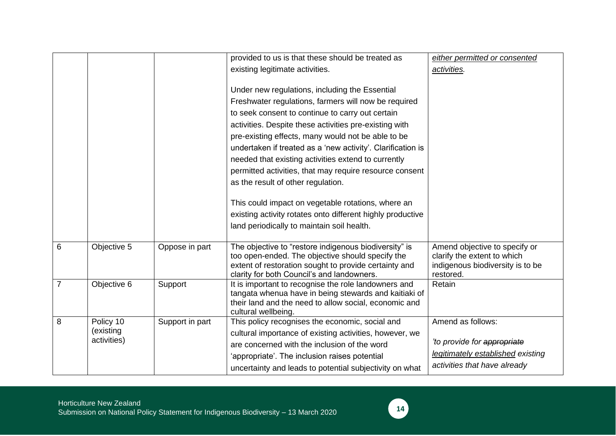|                |                        |                 | provided to us is that these should be treated as                                                   | either permitted or consented                 |
|----------------|------------------------|-----------------|-----------------------------------------------------------------------------------------------------|-----------------------------------------------|
|                |                        |                 | existing legitimate activities.                                                                     | activities.                                   |
|                |                        |                 |                                                                                                     |                                               |
|                |                        |                 | Under new regulations, including the Essential                                                      |                                               |
|                |                        |                 | Freshwater regulations, farmers will now be required                                                |                                               |
|                |                        |                 | to seek consent to continue to carry out certain                                                    |                                               |
|                |                        |                 | activities. Despite these activities pre-existing with                                              |                                               |
|                |                        |                 | pre-existing effects, many would not be able to be                                                  |                                               |
|                |                        |                 | undertaken if treated as a 'new activity'. Clarification is                                         |                                               |
|                |                        |                 | needed that existing activities extend to currently                                                 |                                               |
|                |                        |                 | permitted activities, that may require resource consent                                             |                                               |
|                |                        |                 | as the result of other regulation.                                                                  |                                               |
|                |                        |                 |                                                                                                     |                                               |
|                |                        |                 | This could impact on vegetable rotations, where an                                                  |                                               |
|                |                        |                 | existing activity rotates onto different highly productive                                          |                                               |
|                |                        |                 | land periodically to maintain soil health.                                                          |                                               |
|                |                        |                 |                                                                                                     |                                               |
| 6              | Objective 5            | Oppose in part  | The objective to "restore indigenous biodiversity" is                                               | Amend objective to specify or                 |
|                |                        |                 | too open-ended. The objective should specify the                                                    | clarify the extent to which                   |
|                |                        |                 | extent of restoration sought to provide certainty and<br>clarity for both Council's and landowners. | indigenous biodiversity is to be<br>restored. |
| $\overline{7}$ | Objective 6            | Support         | It is important to recognise the role landowners and                                                | Retain                                        |
|                |                        |                 | tangata whenua have in being stewards and kaitiaki of                                               |                                               |
|                |                        |                 | their land and the need to allow social, economic and                                               |                                               |
|                |                        |                 | cultural wellbeing.                                                                                 |                                               |
| 8              | Policy 10<br>(existing | Support in part | This policy recognises the economic, social and                                                     | Amend as follows:                             |
|                | activities)            |                 | cultural importance of existing activities, however, we                                             | 'to provide for appropriate                   |
|                |                        |                 | are concerned with the inclusion of the word                                                        | legitimately established existing             |
|                |                        |                 | 'appropriate'. The inclusion raises potential                                                       |                                               |
|                |                        |                 | uncertainty and leads to potential subjectivity on what                                             | activities that have already                  |

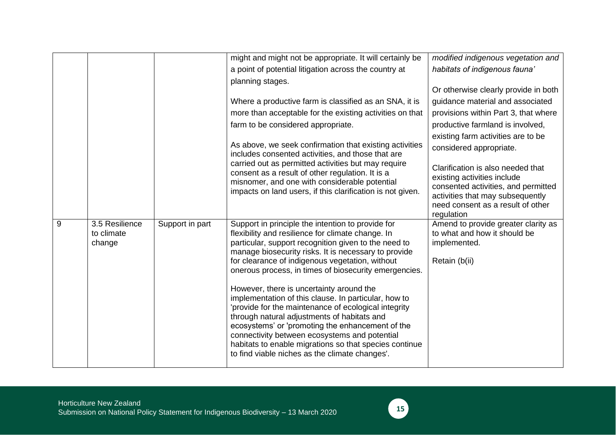|                                        |                 | might and might not be appropriate. It will certainly be                                                                                                                                                                                                                                                                                                                                                                                                                                                                                                                                                                                                                                                                                                       | modified indigenous vegetation and                                                                                                                                                             |
|----------------------------------------|-----------------|----------------------------------------------------------------------------------------------------------------------------------------------------------------------------------------------------------------------------------------------------------------------------------------------------------------------------------------------------------------------------------------------------------------------------------------------------------------------------------------------------------------------------------------------------------------------------------------------------------------------------------------------------------------------------------------------------------------------------------------------------------------|------------------------------------------------------------------------------------------------------------------------------------------------------------------------------------------------|
|                                        |                 | a point of potential litigation across the country at                                                                                                                                                                                                                                                                                                                                                                                                                                                                                                                                                                                                                                                                                                          | habitats of indigenous fauna'                                                                                                                                                                  |
|                                        |                 | planning stages.                                                                                                                                                                                                                                                                                                                                                                                                                                                                                                                                                                                                                                                                                                                                               |                                                                                                                                                                                                |
|                                        |                 |                                                                                                                                                                                                                                                                                                                                                                                                                                                                                                                                                                                                                                                                                                                                                                | Or otherwise clearly provide in both                                                                                                                                                           |
|                                        |                 | Where a productive farm is classified as an SNA, it is                                                                                                                                                                                                                                                                                                                                                                                                                                                                                                                                                                                                                                                                                                         | guidance material and associated                                                                                                                                                               |
|                                        |                 | more than acceptable for the existing activities on that                                                                                                                                                                                                                                                                                                                                                                                                                                                                                                                                                                                                                                                                                                       | provisions within Part 3, that where                                                                                                                                                           |
|                                        |                 | farm to be considered appropriate.                                                                                                                                                                                                                                                                                                                                                                                                                                                                                                                                                                                                                                                                                                                             | productive farmland is involved,                                                                                                                                                               |
|                                        |                 |                                                                                                                                                                                                                                                                                                                                                                                                                                                                                                                                                                                                                                                                                                                                                                | existing farm activities are to be                                                                                                                                                             |
|                                        |                 | includes consented activities, and those that are                                                                                                                                                                                                                                                                                                                                                                                                                                                                                                                                                                                                                                                                                                              | considered appropriate.                                                                                                                                                                        |
|                                        |                 | consent as a result of other regulation. It is a<br>misnomer, and one with considerable potential<br>impacts on land users, if this clarification is not given.                                                                                                                                                                                                                                                                                                                                                                                                                                                                                                                                                                                                | Clarification is also needed that<br>existing activities include<br>consented activities, and permitted<br>activities that may subsequently<br>need consent as a result of other<br>regulation |
| 3.5 Resilience<br>to climate<br>change | Support in part | Support in principle the intention to provide for<br>flexibility and resilience for climate change. In<br>particular, support recognition given to the need to<br>manage biosecurity risks. It is necessary to provide<br>for clearance of indigenous vegetation, without<br>onerous process, in times of biosecurity emergencies.<br>However, there is uncertainty around the<br>implementation of this clause. In particular, how to<br>'provide for the maintenance of ecological integrity<br>through natural adjustments of habitats and<br>ecosystems' or 'promoting the enhancement of the<br>connectivity between ecosystems and potential<br>habitats to enable migrations so that species continue<br>to find viable niches as the climate changes'. | Amend to provide greater clarity as<br>to what and how it should be<br>implemented.<br>Retain (b(ii)                                                                                           |
|                                        |                 |                                                                                                                                                                                                                                                                                                                                                                                                                                                                                                                                                                                                                                                                                                                                                                | As above, we seek confirmation that existing activities<br>carried out as permitted activities but may require                                                                                 |

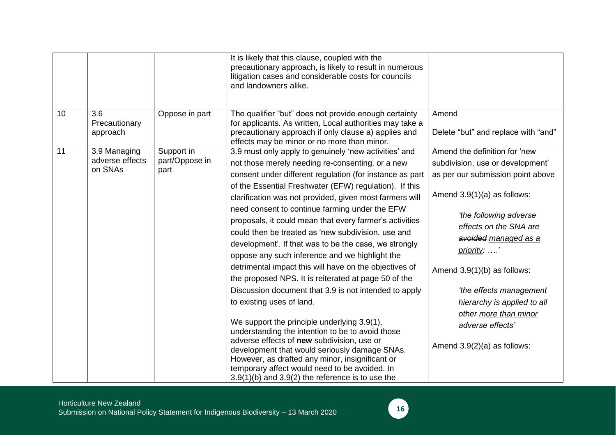| 10 | 3.6<br>Precautionary                       | Oppose in part                       | It is likely that this clause, coupled with the<br>precautionary approach, is likely to result in numerous<br>litigation cases and considerable costs for councils<br>and landowners alike.<br>The qualifier "but" does not provide enough certainty<br>for applicants. As written, Local authorities may take a                                                                                                                                                                                                                                                                                                                                                                                                                                                                                                                                                                                                                                                                                                                      | Amend                                                                                                                                                                                                                                                                                                                                                                                                       |
|----|--------------------------------------------|--------------------------------------|---------------------------------------------------------------------------------------------------------------------------------------------------------------------------------------------------------------------------------------------------------------------------------------------------------------------------------------------------------------------------------------------------------------------------------------------------------------------------------------------------------------------------------------------------------------------------------------------------------------------------------------------------------------------------------------------------------------------------------------------------------------------------------------------------------------------------------------------------------------------------------------------------------------------------------------------------------------------------------------------------------------------------------------|-------------------------------------------------------------------------------------------------------------------------------------------------------------------------------------------------------------------------------------------------------------------------------------------------------------------------------------------------------------------------------------------------------------|
|    | approach                                   |                                      | precautionary approach if only clause a) applies and<br>effects may be minor or no more than minor.                                                                                                                                                                                                                                                                                                                                                                                                                                                                                                                                                                                                                                                                                                                                                                                                                                                                                                                                   | Delete "but" and replace with "and"                                                                                                                                                                                                                                                                                                                                                                         |
| 11 | 3.9 Managing<br>adverse effects<br>on SNAs | Support in<br>part/Oppose in<br>part | 3.9 must only apply to genuinely 'new activities' and<br>not those merely needing re-consenting, or a new<br>consent under different regulation (for instance as part<br>of the Essential Freshwater (EFW) regulation). If this<br>clarification was not provided, given most farmers will<br>need consent to continue farming under the EFW<br>proposals, it could mean that every farmer's activities<br>could then be treated as 'new subdivision, use and<br>development'. If that was to be the case, we strongly<br>oppose any such inference and we highlight the<br>detrimental impact this will have on the objectives of<br>the proposed NPS. It is reiterated at page 50 of the<br>Discussion document that 3.9 is not intended to apply<br>to existing uses of land.<br>We support the principle underlying 3.9(1),<br>understanding the intention to be to avoid those<br>adverse effects of new subdivision, use or<br>development that would seriously damage SNAs.<br>However, as drafted any minor, insignificant or | Amend the definition for 'new<br>subdivision, use or development'<br>as per our submission point above<br>Amend $3.9(1)(a)$ as follows:<br>'the following adverse<br>effects on the SNA are<br>avoided managed as a<br>priority: '<br>Amend $3.9(1)(b)$ as follows:<br>'the effects management<br>hierarchy is applied to all<br>other more than minor<br>adverse effects'<br>Amend $3.9(2)(a)$ as follows: |
|    |                                            |                                      | temporary affect would need to be avoided. In<br>$3.9(1)(b)$ and $3.9(2)$ the reference is to use the                                                                                                                                                                                                                                                                                                                                                                                                                                                                                                                                                                                                                                                                                                                                                                                                                                                                                                                                 |                                                                                                                                                                                                                                                                                                                                                                                                             |

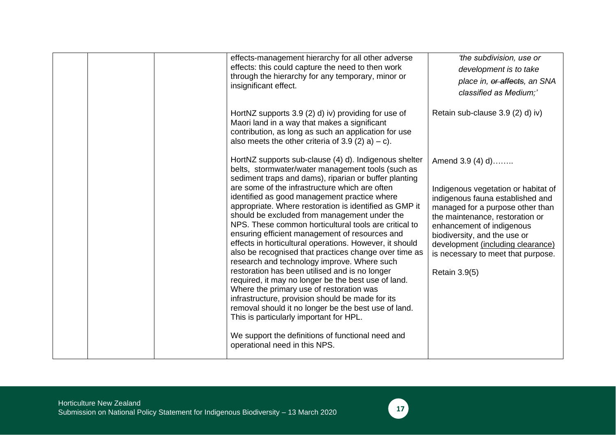|  | effects-management hierarchy for all other adverse<br>effects: this could capture the need to then work<br>through the hierarchy for any temporary, minor or<br>insignificant effect.                                                                                                                                                                                                                                                                                                                                                                                                                                                                                                                                                                                                                                                                                                                                                                                                                                                                           | 'the subdivision, use or<br>development is to take<br>place in, or affects, an SNA<br>classified as Medium;'                                                                                                                                                                                                                       |
|--|-----------------------------------------------------------------------------------------------------------------------------------------------------------------------------------------------------------------------------------------------------------------------------------------------------------------------------------------------------------------------------------------------------------------------------------------------------------------------------------------------------------------------------------------------------------------------------------------------------------------------------------------------------------------------------------------------------------------------------------------------------------------------------------------------------------------------------------------------------------------------------------------------------------------------------------------------------------------------------------------------------------------------------------------------------------------|------------------------------------------------------------------------------------------------------------------------------------------------------------------------------------------------------------------------------------------------------------------------------------------------------------------------------------|
|  | HortNZ supports 3.9 (2) d) iv) providing for use of<br>Maori land in a way that makes a significant<br>contribution, as long as such an application for use<br>also meets the other criteria of 3.9 (2) a) – c).                                                                                                                                                                                                                                                                                                                                                                                                                                                                                                                                                                                                                                                                                                                                                                                                                                                | Retain sub-clause 3.9 (2) d) iv)                                                                                                                                                                                                                                                                                                   |
|  | HortNZ supports sub-clause (4) d). Indigenous shelter<br>belts, stormwater/water management tools (such as<br>sediment traps and dams), riparian or buffer planting<br>are some of the infrastructure which are often<br>identified as good management practice where<br>appropriate. Where restoration is identified as GMP it<br>should be excluded from management under the<br>NPS. These common horticultural tools are critical to<br>ensuring efficient management of resources and<br>effects in horticultural operations. However, it should<br>also be recognised that practices change over time as<br>research and technology improve. Where such<br>restoration has been utilised and is no longer<br>required, it may no longer be the best use of land.<br>Where the primary use of restoration was<br>infrastructure, provision should be made for its<br>removal should it no longer be the best use of land.<br>This is particularly important for HPL.<br>We support the definitions of functional need and<br>operational need in this NPS. | Amend 3.9 (4) d)<br>Indigenous vegetation or habitat of<br>indigenous fauna established and<br>managed for a purpose other than<br>the maintenance, restoration or<br>enhancement of indigenous<br>biodiversity, and the use or<br>development (including clearance)<br>is necessary to meet that purpose.<br><b>Retain 3.9(5)</b> |

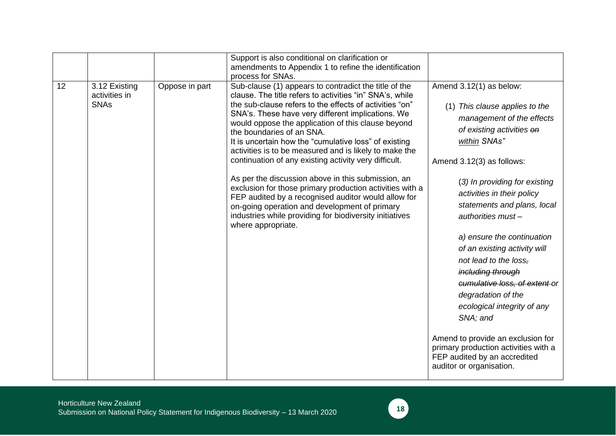|                                                     |                | Support is also conditional on clarification or<br>amendments to Appendix 1 to refine the identification<br>process for SNAs.                                                                                                                                                                                                                                                                                                                                                                                                                                                                                                                                                                                                                                                                               |                                                                                                                                                                                                                                                                                                                                                                                                                                                                                                                                                                                                                                               |
|-----------------------------------------------------|----------------|-------------------------------------------------------------------------------------------------------------------------------------------------------------------------------------------------------------------------------------------------------------------------------------------------------------------------------------------------------------------------------------------------------------------------------------------------------------------------------------------------------------------------------------------------------------------------------------------------------------------------------------------------------------------------------------------------------------------------------------------------------------------------------------------------------------|-----------------------------------------------------------------------------------------------------------------------------------------------------------------------------------------------------------------------------------------------------------------------------------------------------------------------------------------------------------------------------------------------------------------------------------------------------------------------------------------------------------------------------------------------------------------------------------------------------------------------------------------------|
| 12<br>3.12 Existing<br>activities in<br><b>SNAs</b> | Oppose in part | Sub-clause (1) appears to contradict the title of the<br>clause. The title refers to activities "in" SNA's, while<br>the sub-clause refers to the effects of activities "on"<br>SNA's. These have very different implications. We<br>would oppose the application of this clause beyond<br>the boundaries of an SNA.<br>It is uncertain how the "cumulative loss" of existing<br>activities is to be measured and is likely to make the<br>continuation of any existing activity very difficult.<br>As per the discussion above in this submission, an<br>exclusion for those primary production activities with a<br>FEP audited by a recognised auditor would allow for<br>on-going operation and development of primary<br>industries while providing for biodiversity initiatives<br>where appropriate. | Amend 3.12(1) as below:<br>(1) This clause applies to the<br>management of the effects<br>of existing activities on<br>within SNAs"<br>Amend 3.12(3) as follows:<br>(3) In providing for existing<br>activities in their policy<br>statements and plans, local<br>$authorities must -$<br>a) ensure the continuation<br>of an existing activity will<br>not lead to the loss.<br>including through<br>cumulative loss, of extent or<br>degradation of the<br>ecological integrity of any<br>SNA; and<br>Amend to provide an exclusion for<br>primary production activities with a<br>FEP audited by an accredited<br>auditor or organisation. |

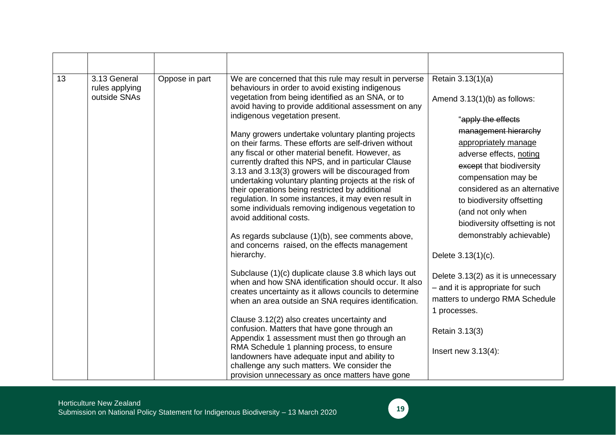| 13 | 3.13 General<br>rules applying<br>outside SNAs | Oppose in part                                                                                                                                                                                                                                                                                                                                                                                                                                                                                                                                                                                                               | We are concerned that this rule may result in perverse<br>behaviours in order to avoid existing indigenous<br>vegetation from being identified as an SNA, or to<br>avoid having to provide additional assessment on any<br>indigenous vegetation present.                                                                                                                                                                                                                                                                                                                        | Retain 3.13(1)(a)<br>Amend $3.13(1)(b)$ as follows:<br>"apply the effects                                                                                              |
|----|------------------------------------------------|------------------------------------------------------------------------------------------------------------------------------------------------------------------------------------------------------------------------------------------------------------------------------------------------------------------------------------------------------------------------------------------------------------------------------------------------------------------------------------------------------------------------------------------------------------------------------------------------------------------------------|----------------------------------------------------------------------------------------------------------------------------------------------------------------------------------------------------------------------------------------------------------------------------------------------------------------------------------------------------------------------------------------------------------------------------------------------------------------------------------------------------------------------------------------------------------------------------------|------------------------------------------------------------------------------------------------------------------------------------------------------------------------|
|    | avoid additional costs.                        | Many growers undertake voluntary planting projects<br>on their farms. These efforts are self-driven without<br>any fiscal or other material benefit. However, as<br>currently drafted this NPS, and in particular Clause<br>3.13 and 3.13(3) growers will be discouraged from<br>undertaking voluntary planting projects at the risk of<br>their operations being restricted by additional<br>regulation. In some instances, it may even result in<br>some individuals removing indigenous vegetation to<br>As regards subclause (1)(b), see comments above,<br>and concerns raised, on the effects management<br>hierarchy. | management hierarchy<br>appropriately manage<br>adverse effects, noting<br>except that biodiversity<br>compensation may be<br>considered as an alternative<br>to biodiversity offsetting<br>(and not only when<br>biodiversity offsetting is not<br>demonstrably achievable)<br>Delete 3.13(1)(c).                                                                                                                                                                                                                                                                               |                                                                                                                                                                        |
|    |                                                |                                                                                                                                                                                                                                                                                                                                                                                                                                                                                                                                                                                                                              | Subclause (1)(c) duplicate clause 3.8 which lays out<br>when and how SNA identification should occur. It also<br>creates uncertainty as it allows councils to determine<br>when an area outside an SNA requires identification.<br>Clause 3.12(2) also creates uncertainty and<br>confusion. Matters that have gone through an<br>Appendix 1 assessment must then go through an<br>RMA Schedule 1 planning process, to ensure<br>landowners have adequate input and ability to<br>challenge any such matters. We consider the<br>provision unnecessary as once matters have gone | Delete 3.13(2) as it is unnecessary<br>- and it is appropriate for such<br>matters to undergo RMA Schedule<br>1 processes.<br>Retain 3.13(3)<br>Insert new $3.13(4)$ : |

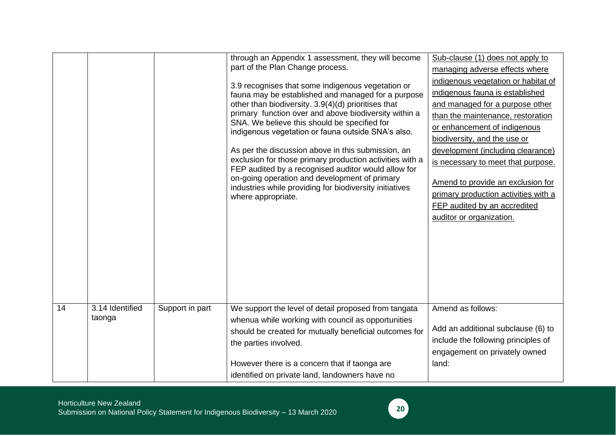|    |                           |                 | through an Appendix 1 assessment, they will become<br>part of the Plan Change process.<br>3.9 recognises that some indigenous vegetation or<br>fauna may be established and managed for a purpose<br>other than biodiversity. 3.9(4)(d) prioritises that<br>primary function over and above biodiversity within a<br>SNA. We believe this should be specified for<br>indigenous vegetation or fauna outside SNA's also.<br>As per the discussion above in this submission, an<br>exclusion for those primary production activities with a<br>FEP audited by a recognised auditor would allow for<br>on-going operation and development of primary<br>industries while providing for biodiversity initiatives<br>where appropriate. | Sub-clause (1) does not apply to<br>managing adverse effects where<br>indigenous vegetation or habitat of<br>indigenous fauna is established<br>and managed for a purpose other<br>than the maintenance, restoration<br>or enhancement of indigenous<br>biodiversity, and the use or<br>development (including clearance)<br>is necessary to meet that purpose.<br>Amend to provide an exclusion for<br>primary production activities with a<br>FEP audited by an accredited<br>auditor or organization. |
|----|---------------------------|-----------------|------------------------------------------------------------------------------------------------------------------------------------------------------------------------------------------------------------------------------------------------------------------------------------------------------------------------------------------------------------------------------------------------------------------------------------------------------------------------------------------------------------------------------------------------------------------------------------------------------------------------------------------------------------------------------------------------------------------------------------|----------------------------------------------------------------------------------------------------------------------------------------------------------------------------------------------------------------------------------------------------------------------------------------------------------------------------------------------------------------------------------------------------------------------------------------------------------------------------------------------------------|
| 14 | 3.14 Identified<br>taonga | Support in part | We support the level of detail proposed from tangata<br>whenua while working with council as opportunities<br>should be created for mutually beneficial outcomes for<br>the parties involved.<br>However there is a concern that if taonga are<br>identified on private land, landowners have no                                                                                                                                                                                                                                                                                                                                                                                                                                   | Amend as follows:<br>Add an additional subclause (6) to<br>include the following principles of<br>engagement on privately owned<br>land:                                                                                                                                                                                                                                                                                                                                                                 |

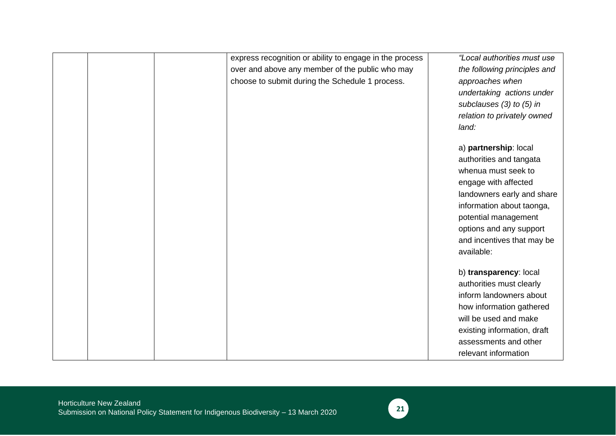|  | express recognition or ability to engage in the process | "Local authorities must use  |
|--|---------------------------------------------------------|------------------------------|
|  | over and above any member of the public who may         | the following principles and |
|  | choose to submit during the Schedule 1 process.         | approaches when              |
|  |                                                         | undertaking actions under    |
|  |                                                         | subclauses $(3)$ to $(5)$ in |
|  |                                                         | relation to privately owned  |
|  |                                                         | land:                        |
|  |                                                         | a) partnership: local        |
|  |                                                         | authorities and tangata      |
|  |                                                         | whenua must seek to          |
|  |                                                         | engage with affected         |
|  |                                                         | landowners early and share   |
|  |                                                         | information about taonga,    |
|  |                                                         | potential management         |
|  |                                                         |                              |
|  |                                                         | options and any support      |
|  |                                                         | and incentives that may be   |
|  |                                                         | available:                   |
|  |                                                         | b) transparency: local       |
|  |                                                         | authorities must clearly     |
|  |                                                         | inform landowners about      |
|  |                                                         | how information gathered     |
|  |                                                         | will be used and make        |
|  |                                                         | existing information, draft  |
|  |                                                         | assessments and other        |
|  |                                                         | relevant information         |

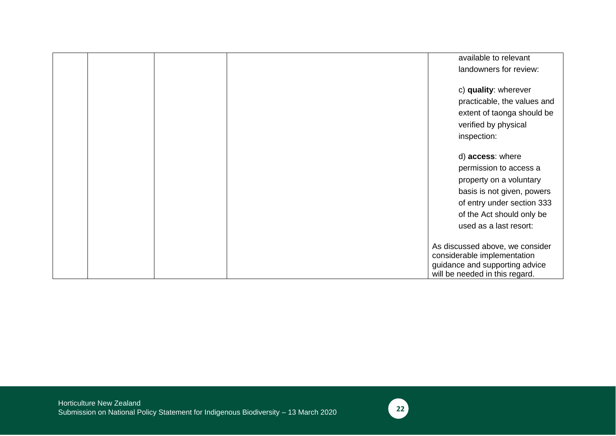|  |  | available to relevant                                                                            |
|--|--|--------------------------------------------------------------------------------------------------|
|  |  | landowners for review:                                                                           |
|  |  | c) quality: wherever                                                                             |
|  |  | practicable, the values and                                                                      |
|  |  | extent of taonga should be                                                                       |
|  |  | verified by physical                                                                             |
|  |  | inspection:                                                                                      |
|  |  | d) access: where                                                                                 |
|  |  | permission to access a                                                                           |
|  |  | property on a voluntary                                                                          |
|  |  | basis is not given, powers                                                                       |
|  |  | of entry under section 333                                                                       |
|  |  | of the Act should only be                                                                        |
|  |  | used as a last resort:                                                                           |
|  |  | As discussed above, we consider<br>considerable implementation<br>guidance and supporting advice |
|  |  | will be needed in this regard.                                                                   |

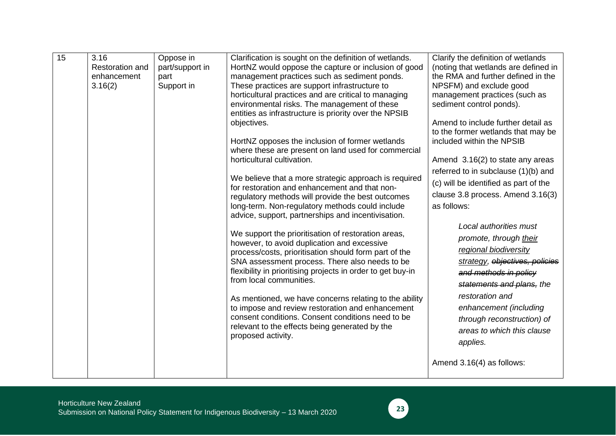| 15 | 3.16<br><b>Restoration and</b><br>enhancement<br>3.16(2) | Oppose in<br>part/support in<br>part<br>Support in | Clarification is sought on the definition of wetlands.<br>HortNZ would oppose the capture or inclusion of good<br>management practices such as sediment ponds.<br>These practices are support infrastructure to | Clarify the definition of wetlands<br>(noting that wetlands are defined in<br>the RMA and further defined in the<br>NPSFM) and exclude good |
|----|----------------------------------------------------------|----------------------------------------------------|-----------------------------------------------------------------------------------------------------------------------------------------------------------------------------------------------------------------|---------------------------------------------------------------------------------------------------------------------------------------------|
|    |                                                          |                                                    | horticultural practices and are critical to managing<br>environmental risks. The management of these<br>entities as infrastructure is priority over the NPSIB                                                   | management practices (such as<br>sediment control ponds).                                                                                   |
|    |                                                          |                                                    | objectives.                                                                                                                                                                                                     | Amend to include further detail as<br>to the former wetlands that may be                                                                    |
|    |                                                          |                                                    | HortNZ opposes the inclusion of former wetlands<br>where these are present on land used for commercial                                                                                                          | included within the NPSIB                                                                                                                   |
|    |                                                          |                                                    | horticultural cultivation.                                                                                                                                                                                      | Amend 3.16(2) to state any areas<br>referred to in subclause (1)(b) and                                                                     |
|    |                                                          |                                                    | We believe that a more strategic approach is required<br>for restoration and enhancement and that non-                                                                                                          | (c) will be identified as part of the                                                                                                       |
|    |                                                          |                                                    | regulatory methods will provide the best outcomes<br>long-term. Non-regulatory methods could include                                                                                                            | clause 3.8 process. Amend 3.16(3)<br>as follows:                                                                                            |
|    |                                                          |                                                    | advice, support, partnerships and incentivisation.                                                                                                                                                              | Local authorities must                                                                                                                      |
|    |                                                          |                                                    | We support the prioritisation of restoration areas,<br>however, to avoid duplication and excessive                                                                                                              | promote, through their                                                                                                                      |
|    |                                                          |                                                    | process/costs, prioritisation should form part of the<br>SNA assessment process. There also needs to be                                                                                                         | regional biodiversity<br>strategy, objectives, policies                                                                                     |
|    |                                                          |                                                    | flexibility in prioritising projects in order to get buy-in<br>from local communities.                                                                                                                          | and methods in policy                                                                                                                       |
|    |                                                          |                                                    |                                                                                                                                                                                                                 | statements and plans, the<br>restoration and                                                                                                |
|    |                                                          |                                                    | As mentioned, we have concerns relating to the ability<br>to impose and review restoration and enhancement<br>consent conditions. Consent conditions need to be                                                 | enhancement (including                                                                                                                      |
|    |                                                          |                                                    | relevant to the effects being generated by the<br>proposed activity.                                                                                                                                            | through reconstruction) of<br>areas to which this clause<br>applies.                                                                        |
|    |                                                          |                                                    |                                                                                                                                                                                                                 | Amend 3.16(4) as follows:                                                                                                                   |

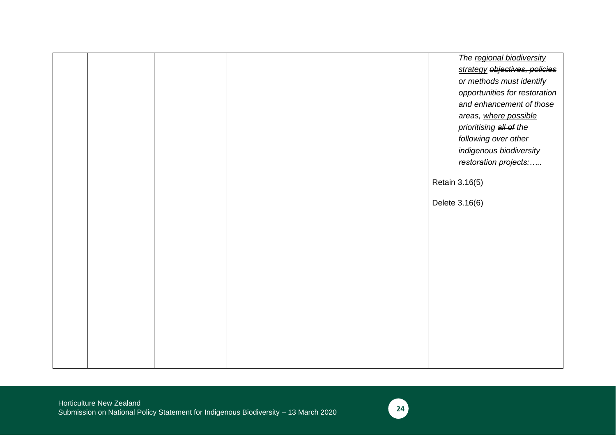|  |  | The regional biodiversity     |
|--|--|-------------------------------|
|  |  | strategy objectives, policies |
|  |  | or methods must identify      |
|  |  | opportunities for restoration |
|  |  | and enhancement of those      |
|  |  | areas, where possible         |
|  |  | prioritising all of the       |
|  |  | following over other          |
|  |  | indigenous biodiversity       |
|  |  | restoration projects:         |
|  |  |                               |
|  |  | Retain 3.16(5)                |
|  |  |                               |
|  |  | Delete 3.16(6)                |
|  |  |                               |
|  |  |                               |
|  |  |                               |
|  |  |                               |
|  |  |                               |
|  |  |                               |
|  |  |                               |
|  |  |                               |
|  |  |                               |
|  |  |                               |
|  |  |                               |
|  |  |                               |
|  |  |                               |
|  |  |                               |

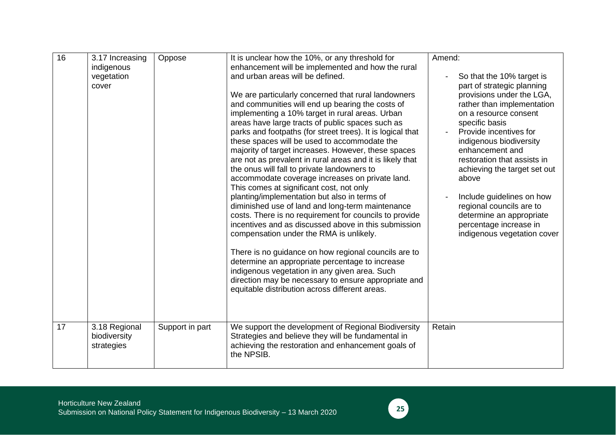| 16 | 3.17 Increasing | Oppose          | It is unclear how the 10%, or any threshold for                                          | Amend:                                                |
|----|-----------------|-----------------|------------------------------------------------------------------------------------------|-------------------------------------------------------|
|    | indigenous      |                 | enhancement will be implemented and how the rural                                        |                                                       |
|    | vegetation      |                 | and urban areas will be defined.                                                         | So that the 10% target is                             |
|    | cover           |                 |                                                                                          | part of strategic planning                            |
|    |                 |                 | We are particularly concerned that rural landowners                                      | provisions under the LGA,                             |
|    |                 |                 | and communities will end up bearing the costs of                                         | rather than implementation                            |
|    |                 |                 | implementing a 10% target in rural areas. Urban                                          | on a resource consent                                 |
|    |                 |                 | areas have large tracts of public spaces such as                                         | specific basis                                        |
|    |                 |                 | parks and footpaths (for street trees). It is logical that                               | Provide incentives for                                |
|    |                 |                 | these spaces will be used to accommodate the                                             | indigenous biodiversity                               |
|    |                 |                 | majority of target increases. However, these spaces                                      | enhancement and                                       |
|    |                 |                 | are not as prevalent in rural areas and it is likely that                                | restoration that assists in                           |
|    |                 |                 | the onus will fall to private landowners to                                              | achieving the target set out                          |
|    |                 |                 | accommodate coverage increases on private land.                                          | above                                                 |
|    |                 |                 | This comes at significant cost, not only<br>planting/implementation but also in terms of |                                                       |
|    |                 |                 | diminished use of land and long-term maintenance                                         | Include guidelines on how<br>regional councils are to |
|    |                 |                 | costs. There is no requirement for councils to provide                                   | determine an appropriate                              |
|    |                 |                 | incentives and as discussed above in this submission                                     | percentage increase in                                |
|    |                 |                 | compensation under the RMA is unlikely.                                                  | indigenous vegetation cover                           |
|    |                 |                 |                                                                                          |                                                       |
|    |                 |                 | There is no guidance on how regional councils are to                                     |                                                       |
|    |                 |                 | determine an appropriate percentage to increase                                          |                                                       |
|    |                 |                 | indigenous vegetation in any given area. Such                                            |                                                       |
|    |                 |                 | direction may be necessary to ensure appropriate and                                     |                                                       |
|    |                 |                 | equitable distribution across different areas.                                           |                                                       |
|    |                 |                 |                                                                                          |                                                       |
|    |                 |                 |                                                                                          |                                                       |
|    |                 |                 |                                                                                          |                                                       |
| 17 | 3.18 Regional   | Support in part | We support the development of Regional Biodiversity                                      | Retain                                                |
|    | biodiversity    |                 | Strategies and believe they will be fundamental in                                       |                                                       |
|    | strategies      |                 | achieving the restoration and enhancement goals of                                       |                                                       |
|    |                 |                 | the NPSIB.                                                                               |                                                       |
|    |                 |                 |                                                                                          |                                                       |

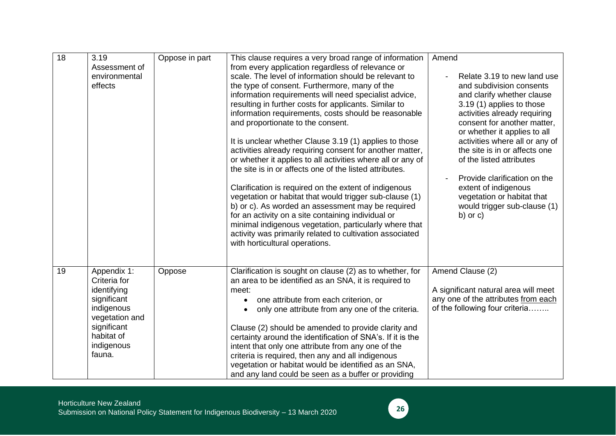| 18 | 3.19<br>Assessment of<br>environmental<br>effects                                                                                              | Oppose in part | This clause requires a very broad range of information<br>from every application regardless of relevance or<br>scale. The level of information should be relevant to<br>the type of consent. Furthermore, many of the<br>information requirements will need specialist advice,<br>resulting in further costs for applicants. Similar to<br>information requirements, costs should be reasonable<br>and proportionate to the consent.<br>It is unclear whether Clause 3.19 (1) applies to those<br>activities already requiring consent for another matter,<br>or whether it applies to all activities where all or any of<br>the site is in or affects one of the listed attributes.<br>Clarification is required on the extent of indigenous<br>vegetation or habitat that would trigger sub-clause (1)<br>b) or c). As worded an assessment may be required<br>for an activity on a site containing individual or<br>minimal indigenous vegetation, particularly where that<br>activity was primarily related to cultivation associated<br>with horticultural operations. | Amend<br>Relate 3.19 to new land use<br>and subdivision consents<br>and clarify whether clause<br>3.19 (1) applies to those<br>activities already requiring<br>consent for another matter,<br>or whether it applies to all<br>activities where all or any of<br>the site is in or affects one<br>of the listed attributes<br>Provide clarification on the<br>extent of indigenous<br>vegetation or habitat that<br>would trigger sub-clause (1)<br>$b)$ or $c)$ |
|----|------------------------------------------------------------------------------------------------------------------------------------------------|----------------|-----------------------------------------------------------------------------------------------------------------------------------------------------------------------------------------------------------------------------------------------------------------------------------------------------------------------------------------------------------------------------------------------------------------------------------------------------------------------------------------------------------------------------------------------------------------------------------------------------------------------------------------------------------------------------------------------------------------------------------------------------------------------------------------------------------------------------------------------------------------------------------------------------------------------------------------------------------------------------------------------------------------------------------------------------------------------------|-----------------------------------------------------------------------------------------------------------------------------------------------------------------------------------------------------------------------------------------------------------------------------------------------------------------------------------------------------------------------------------------------------------------------------------------------------------------|
| 19 | Appendix 1:<br>Criteria for<br>identifying<br>significant<br>indigenous<br>vegetation and<br>significant<br>habitat of<br>indigenous<br>fauna. | Oppose         | Clarification is sought on clause (2) as to whether, for<br>an area to be identified as an SNA, it is required to<br>meet:<br>one attribute from each criterion, or<br>$\bullet$<br>only one attribute from any one of the criteria.<br>Clause (2) should be amended to provide clarity and<br>certainty around the identification of SNA's. If it is the<br>intent that only one attribute from any one of the<br>criteria is required, then any and all indigenous<br>vegetation or habitat would be identified as an SNA,<br>and any land could be seen as a buffer or providing                                                                                                                                                                                                                                                                                                                                                                                                                                                                                         | Amend Clause (2)<br>A significant natural area will meet<br>any one of the attributes from each<br>of the following four criteria                                                                                                                                                                                                                                                                                                                               |

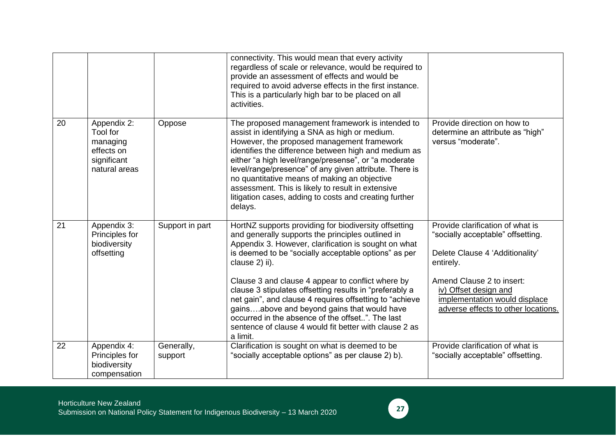|    |                                                                                   |                       | connectivity. This would mean that every activity<br>regardless of scale or relevance, would be required to<br>provide an assessment of effects and would be<br>required to avoid adverse effects in the first instance.<br>This is a particularly high bar to be placed on all<br>activities.                                                                                                                                                                                                                                                                                                   |                                                                                                                                                                                                                                                     |
|----|-----------------------------------------------------------------------------------|-----------------------|--------------------------------------------------------------------------------------------------------------------------------------------------------------------------------------------------------------------------------------------------------------------------------------------------------------------------------------------------------------------------------------------------------------------------------------------------------------------------------------------------------------------------------------------------------------------------------------------------|-----------------------------------------------------------------------------------------------------------------------------------------------------------------------------------------------------------------------------------------------------|
| 20 | Appendix 2:<br>Tool for<br>managing<br>effects on<br>significant<br>natural areas | Oppose                | The proposed management framework is intended to<br>assist in identifying a SNA as high or medium.<br>However, the proposed management framework<br>identifies the difference between high and medium as<br>either "a high level/range/presense", or "a moderate<br>level/range/presence" of any given attribute. There is<br>no quantitative means of making an objective<br>assessment. This is likely to result in extensive<br>litigation cases, adding to costs and creating further<br>delays.                                                                                             | Provide direction on how to<br>determine an attribute as "high"<br>versus "moderate".                                                                                                                                                               |
| 21 | Appendix 3:<br>Principles for<br>biodiversity<br>offsetting                       | Support in part       | HortNZ supports providing for biodiversity offsetting<br>and generally supports the principles outlined in<br>Appendix 3. However, clarification is sought on what<br>is deemed to be "socially acceptable options" as per<br>clause 2) ii).<br>Clause 3 and clause 4 appear to conflict where by<br>clause 3 stipulates offsetting results in "preferably a<br>net gain", and clause 4 requires offsetting to "achieve<br>gainsabove and beyond gains that would have<br>occurred in the absence of the offset". The last<br>sentence of clause 4 would fit better with clause 2 as<br>a limit. | Provide clarification of what is<br>"socially acceptable" offsetting.<br>Delete Clause 4 'Additionality'<br>entirely.<br>Amend Clause 2 to insert:<br>iv) Offset design and<br>implementation would displace<br>adverse effects to other locations. |
| 22 | Appendix 4:<br>Principles for<br>biodiversity<br>compensation                     | Generally,<br>support | Clarification is sought on what is deemed to be<br>"socially acceptable options" as per clause 2) b).                                                                                                                                                                                                                                                                                                                                                                                                                                                                                            | Provide clarification of what is<br>"socially acceptable" offsetting.                                                                                                                                                                               |